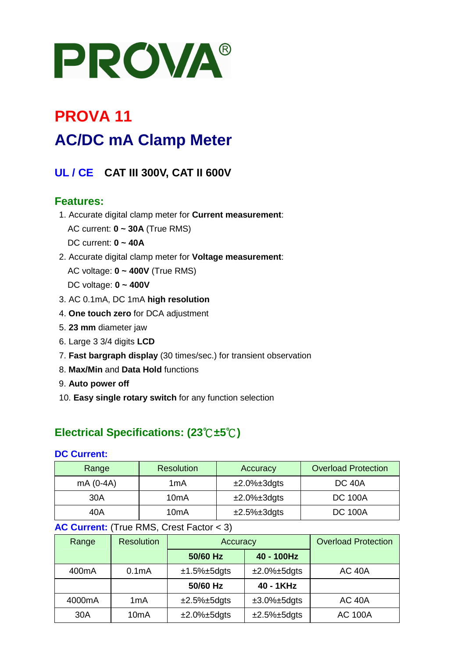# PROVA®

# **PROVA 11 AC/DC mA Clamp Meter**

# **UL / CE CAT III 300V, CAT II 600V**

## **Features:**

- 1. Accurate digital clamp meter for **Current measurement**: AC current: **0 ~ 30A** (True RMS) DC current: **0 ~ 40A**
- 2. Accurate digital clamp meter for **Voltage measurement**: AC voltage: **0 ~ 400V** (True RMS) DC voltage: **0 ~ 400V**
- 3. AC 0.1mA, DC 1mA **high resolution**
- 4. **One touch zero** for DCA adjustment
- 5. **23 mm** diameter jaw
- 6. Large 3 3/4 digits **LCD**
- 7. **Fast bargraph display** (30 times/sec.) for transient observation
- 8. **Max/Min** and **Data Hold** functions
- 9. **Auto power off**
- 10. **Easy single rotary switch** for any function selection

# **Electrical Specifications: (23**℃**±5**℃**)**

#### **DC Current:**

| Range      | <b>Resolution</b> | Accuracy               | <b>Overload Protection</b> |
|------------|-------------------|------------------------|----------------------------|
| $mA(0-4A)$ | 1mA               | $\pm 2.0\% \pm 3$ dgts | <b>DC 40A</b>              |
| 30A        | 10mA              | $\pm 2.0\% \pm 3$ dgts | <b>DC 100A</b>             |
| 40A        | 10 <sub>m</sub> A | $±2.5\%±3dqts$         | <b>DC 100A</b>             |

#### **AC Current:** (True RMS, Crest Factor < 3)

| Range              | <b>Resolution</b>  | Accuracy       |                | <b>Overload Protection</b> |
|--------------------|--------------------|----------------|----------------|----------------------------|
|                    |                    | 50/60 Hz       | 40 - 100Hz     |                            |
| 400 <sub>m</sub> A | 0.1 <sub>m</sub> A | $±1.5\%±5dgts$ | $±2.0\%±5dqts$ | <b>AC 40A</b>              |
|                    |                    | 50/60 Hz       | 40 - 1KHz      |                            |
| 4000mA             | 1 <sub>m</sub> A   | $±2.5\%±5dgts$ | $±3.0\%±5dqts$ | <b>AC 40A</b>              |
| 30A                | 10 <sub>m</sub> A  | $±2.0\%±5dgts$ | $±2.5\%±5dgts$ | <b>AC 100A</b>             |